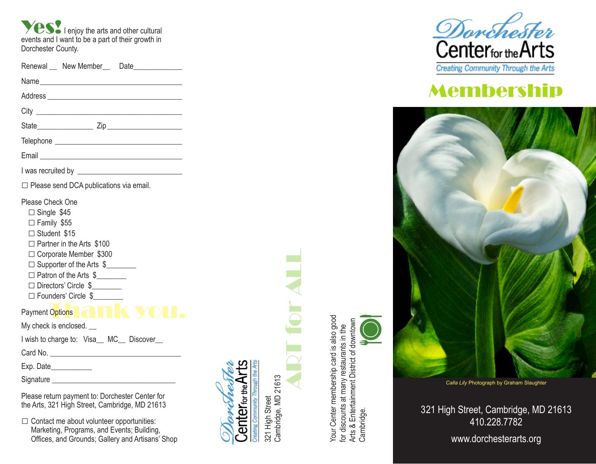**Ves!** I enjoy the arts and other cultural events and I want to be a part of their growth in Dorchester County.

| Renewal __ New Member__ Date_____________                                                                                                                                                                                                             |  |
|-------------------------------------------------------------------------------------------------------------------------------------------------------------------------------------------------------------------------------------------------------|--|
|                                                                                                                                                                                                                                                       |  |
|                                                                                                                                                                                                                                                       |  |
|                                                                                                                                                                                                                                                       |  |
|                                                                                                                                                                                                                                                       |  |
|                                                                                                                                                                                                                                                       |  |
|                                                                                                                                                                                                                                                       |  |
|                                                                                                                                                                                                                                                       |  |
| □ Please send DCA publications via email.                                                                                                                                                                                                             |  |
| Please Check One<br>$\Box$ Single \$45<br>□ Family \$55<br>□ Student \$15<br>$\Box$ Partner in the Arts \$100<br>□ Corporate Member \$300<br>□ Supporter of the Arts \$<br>□ Patron of the Arts \$<br>□ Directors' Circle \$<br>□ Founders' Circle \$ |  |
| <b>Payment Options Company</b>                                                                                                                                                                                                                        |  |
| My check is enclosed. __                                                                                                                                                                                                                              |  |
| I wish to charge to: Visa_MC_ Discover_                                                                                                                                                                                                               |  |
|                                                                                                                                                                                                                                                       |  |
| Exp. Date                                                                                                                                                                                                                                             |  |
|                                                                                                                                                                                                                                                       |  |
| <b>PU I</b> II PU I Q I C                                                                                                                                                                                                                             |  |

Please return payment to: Dorchester Center for the Arts, 321 High Street, Cambridge, MD 21613

 $\square$  Contact me about volunteer opportunities: Marketing, Programs, and Events; Building, Offices, and Grounds; Gallery and Artisans' Shop



321 High Street

Center<sub>for the</sub> Arts

robed

Your Center membership card is also good Your Center membership card is also good Cambridge. Arts & Entertainment District of downtown for discounts at many restaurants in the<br>Arts & Entertainment District of downtown<br>Cambridge. for discounts at many restaurants in the



# Membership



*Calla Lily* Photograph by Graham Slaughter

321 High Street, Cambridge, MD 21613 410.228.7782

www.dorchesterarts.org